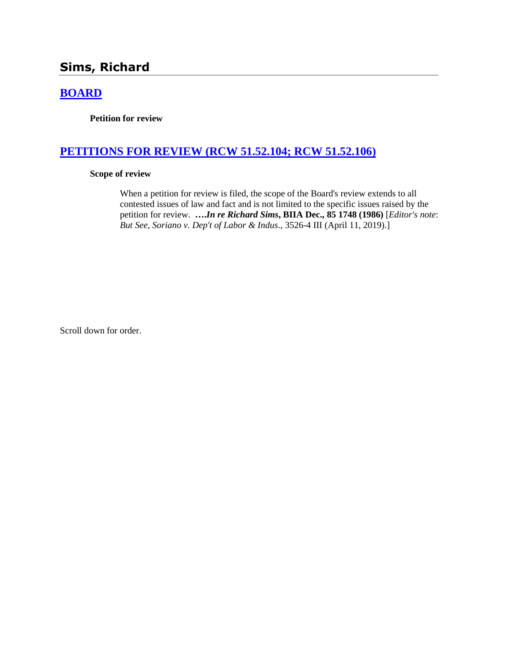# **Sims, Richard**

# **[BOARD](http://www.biia.wa.gov/SDSubjectIndex.html#BOARD)**

**Petition for review**

## **[PETITIONS FOR REVIEW \(RCW 51.52.104; RCW 51.52.106\)](http://www.biia.wa.gov/SDSubjectIndex.html#PETITIONS_FOR_REVIEW)**

#### **Scope of review**

When a petition for review is filed, the scope of the Board's review extends to all contested issues of law and fact and is not limited to the specific issues raised by the petition for review. **….***In re Richard Sims***, BIIA Dec., 85 1748 (1986)** [*Editor's note*: *But See, Soriano v. Dep't of Labor & Indus*., 3526-4 III (April 11, 2019).]

Scroll down for order.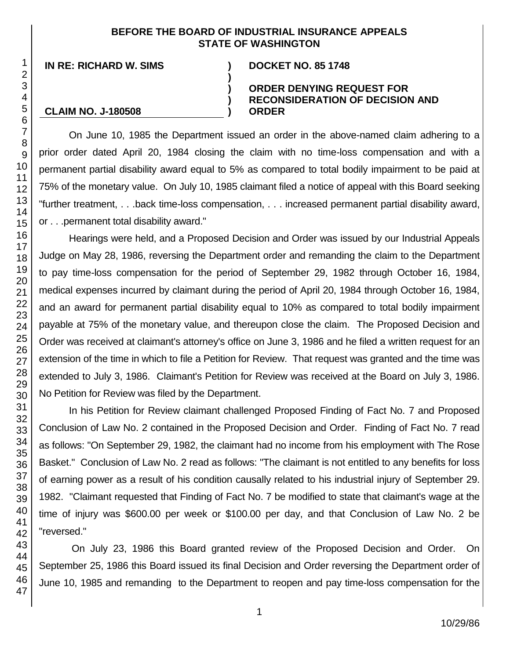### **BEFORE THE BOARD OF INDUSTRIAL INSURANCE APPEALS STATE OF WASHINGTON**

**)**

**) ) )**

**IN RE: RICHARD W. SIMS ) DOCKET NO. 85 1748**

#### **ORDER DENYING REQUEST FOR RECONSIDERATION OF DECISION AND ORDER**

# **CLAIM NO. J-180508**

On June 10, 1985 the Department issued an order in the above-named claim adhering to a prior order dated April 20, 1984 closing the claim with no time-loss compensation and with a permanent partial disability award equal to 5% as compared to total bodily impairment to be paid at 75% of the monetary value. On July 10, 1985 claimant filed a notice of appeal with this Board seeking "further treatment, . . .back time-loss compensation, . . . increased permanent partial disability award, or . . .permanent total disability award."

Hearings were held, and a Proposed Decision and Order was issued by our Industrial Appeals Judge on May 28, 1986, reversing the Department order and remanding the claim to the Department to pay time-loss compensation for the period of September 29, 1982 through October 16, 1984, medical expenses incurred by claimant during the period of April 20, 1984 through October 16, 1984, and an award for permanent partial disability equal to 10% as compared to total bodily impairment payable at 75% of the monetary value, and thereupon close the claim. The Proposed Decision and Order was received at claimant's attorney's office on June 3, 1986 and he filed a written request for an extension of the time in which to file a Petition for Review. That request was granted and the time was extended to July 3, 1986. Claimant's Petition for Review was received at the Board on July 3, 1986. No Petition for Review was filed by the Department.

In his Petition for Review claimant challenged Proposed Finding of Fact No. 7 and Proposed Conclusion of Law No. 2 contained in the Proposed Decision and Order. Finding of Fact No. 7 read as follows: "On September 29, 1982, the claimant had no income from his employment with The Rose Basket." Conclusion of Law No. 2 read as follows: "The claimant is not entitled to any benefits for loss of earning power as a result of his condition causally related to his industrial injury of September 29. 1982. "Claimant requested that Finding of Fact No. 7 be modified to state that claimant's wage at the time of injury was \$600.00 per week or \$100.00 per day, and that Conclusion of Law No. 2 be "reversed."

On July 23, 1986 this Board granted review of the Proposed Decision and Order. On September 25, 1986 this Board issued its final Decision and Order reversing the Department order of June 10, 1985 and remanding to the Department to reopen and pay time-loss compensation for the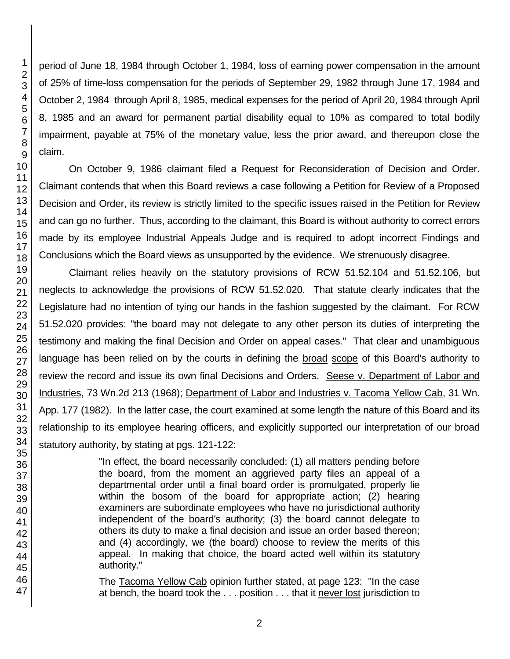3 4 5 6 7 8 9 10 11 12 13 14 15 16 17 18 19 20 21 22 23 24 25 26 27 28 29 30 31 of 25% of time-loss compensation for the periods of September 29, 1982 through June 17, 1984 and October 2, 1984 through April 8, 1985, medical expenses for the period of April 20, 1984 through April 8, 1985 and an award for permanent partial disability equal to 10% as compared to total bodily impairment, payable at 75% of the monetary value, less the prior award, and thereupon close the claim. On October 9, 1986 claimant filed a Request for Reconsideration of Decision and Order. Claimant contends that when this Board reviews a case following a Petition for Review of a Proposed Decision and Order, its review is strictly limited to the specific issues raised in the Petition for Review and can go no further. Thus, according to the claimant, this Board is without authority to correct errors made by its employee Industrial Appeals Judge and is required to adopt incorrect Findings and Conclusions which the Board views as unsupported by the evidence. We strenuously disagree. Claimant relies heavily on the statutory provisions of RCW 51.52.104 and 51.52.106, but neglects to acknowledge the provisions of RCW 51.52.020. That statute clearly indicates that the Legislature had no intention of tying our hands in the fashion suggested by the claimant. For RCW 51.52.020 provides: "the board may not delegate to any other person its duties of interpreting the testimony and making the final Decision and Order on appeal cases." That clear and unambiguous language has been relied on by the courts in defining the broad scope of this Board's authority to review the record and issue its own final Decisions and Orders. Seese v. Department of Labor and Industries, 73 Wn.2d 213 (1968); Department of Labor and Industries v. Tacoma Yellow Cab, 31 Wn. App. 177 (1982). In the latter case, the court examined at some length the nature of this Board and its

relationship to its employee hearing officers, and explicitly supported our interpretation of our broad statutory authority, by stating at pgs. 121-122: "In effect, the board necessarily concluded: (1) all matters pending before the board, from the moment an aggrieved party files an appeal of a departmental order until a final board order is promulgated, properly lie within the bosom of the board for appropriate action; (2) hearing examiners are subordinate employees who have no jurisdictional authority independent of the board's authority; (3) the board cannot delegate to others its duty to make a final decision and issue an order based thereon;

period of June 18, 1984 through October 1, 1984, loss of earning power compensation in the amount

and (4) accordingly, we (the board) choose to review the merits of this appeal. In making that choice, the board acted well within its statutory authority."

The Tacoma Yellow Cab opinion further stated, at page 123: "In the case at bench, the board took the . . . position . . . that it never lost jurisdiction to

2